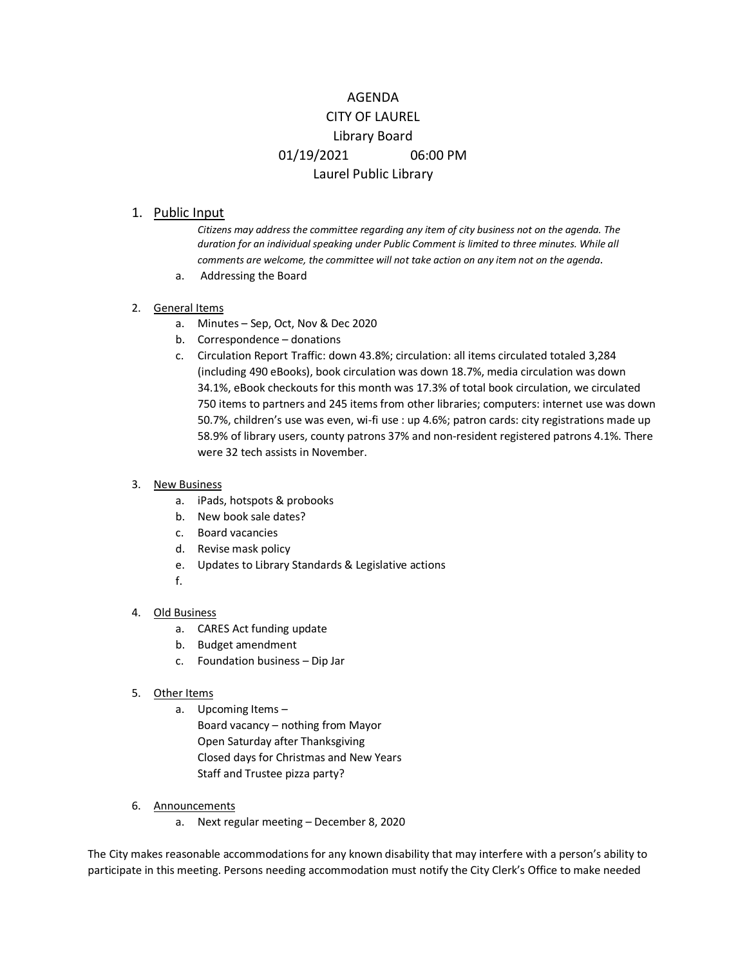# AGENDA CITY OF LAUREL Library Board 01/19/2021 06:00 PM Laurel Public Library

# 1. Public Input

*Citizens may address the committee regarding any item of city business not on the agenda. The duration for an individual speaking under Public Comment is limited to three minutes. While all comments are welcome, the committee will not take action on any item not on the agenda.*

- a. Addressing the Board
- 2. General Items
	- a. Minutes Sep, Oct, Nov & Dec 2020
	- b. Correspondence donations
	- c. Circulation Report Traffic: down 43.8%; circulation: all items circulated totaled 3,284 (including 490 eBooks), book circulation was down 18.7%, media circulation was down 34.1%, eBook checkouts for this month was 17.3% of total book circulation, we circulated 750 items to partners and 245 items from other libraries; computers: internet use was down 50.7%, children's use was even, wi-fi use : up 4.6%; patron cards: city registrations made up 58.9% of library users, county patrons 37% and non-resident registered patrons 4.1%. There were 32 tech assists in November.

## 3. New Business

- a. iPads, hotspots & probooks
- b. New book sale dates?
- c. Board vacancies
- d. Revise mask policy
- e. Updates to Library Standards & Legislative actions
- f.

### 4. Old Business

- a. CARES Act funding update
- b. Budget amendment
- c. Foundation business Dip Jar

### 5. Other Items

- a. Upcoming Items Board vacancy – nothing from Mayor Open Saturday after Thanksgiving Closed days for Christmas and New Years
	- Staff and Trustee pizza party?
- 6. Announcements
	- a. Next regular meeting December 8, 2020

The City makes reasonable accommodations for any known disability that may interfere with a person's ability to participate in this meeting. Persons needing accommodation must notify the City Clerk's Office to make needed